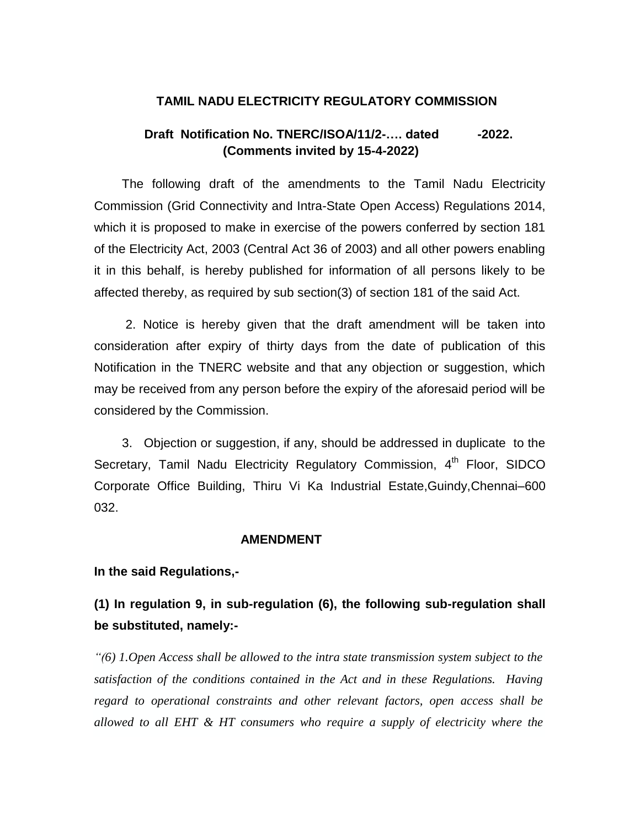### **TAMIL NADU ELECTRICITY REGULATORY COMMISSION**

## **Draft** Notification No. TNERC/ISOA/11/2-.... dated -2022.  **(Comments invited by 15-4-2022)**

 The following draft of the amendments to the Tamil Nadu Electricity Commission (Grid Connectivity and Intra-State Open Access) Regulations 2014, which it is proposed to make in exercise of the powers conferred by section 181 of the Electricity Act, 2003 (Central Act 36 of 2003) and all other powers enabling it in this behalf, is hereby published for information of all persons likely to be affected thereby, as required by sub section(3) of section 181 of the said Act.

 2. Notice is hereby given that the draft amendment will be taken into consideration after expiry of thirty days from the date of publication of this Notification in the TNERC website and that any objection or suggestion, which may be received from any person before the expiry of the aforesaid period will be considered by the Commission.

 3. Objection or suggestion, if any, should be addressed in duplicate to the Secretary, Tamil Nadu Electricity Regulatory Commission, 4<sup>th</sup> Floor, SIDCO Corporate Office Building, Thiru Vi Ka Industrial Estate,Guindy,Chennai–600 032.

#### **AMENDMENT**

**In the said Regulations,-**

**(1) In regulation 9, in sub-regulation (6), the following sub-regulation shall be substituted, namely:-**

*"(6) 1.Open Access shall be allowed to the intra state transmission system subject to the satisfaction of the conditions contained in the Act and in these Regulations. Having regard to operational constraints and other relevant factors, open access shall be allowed to all EHT & HT consumers who require a supply of electricity where the*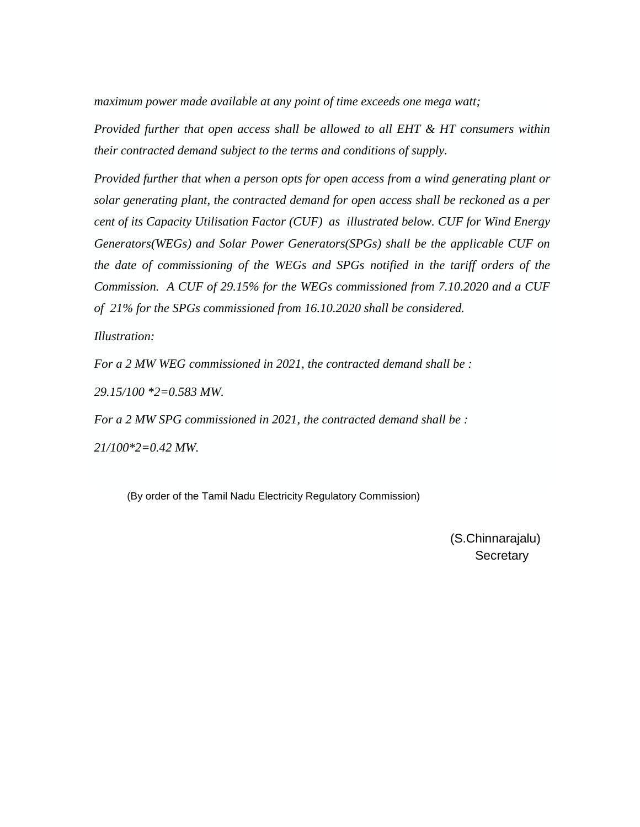*maximum power made available at any point of time exceeds one mega watt;*

*Provided further that open access shall be allowed to all EHT & HT consumers within their contracted demand subject to the terms and conditions of supply.*

*Provided further that when a person opts for open access from a wind generating plant or solar generating plant, the contracted demand for open access shall be reckoned as a per cent of its Capacity Utilisation Factor (CUF) as illustrated below. CUF for Wind Energy Generators(WEGs) and Solar Power Generators(SPGs) shall be the applicable CUF on the date of commissioning of the WEGs and SPGs notified in the tariff orders of the Commission. A CUF of 29.15% for the WEGs commissioned from 7.10.2020 and a CUF of 21% for the SPGs commissioned from 16.10.2020 shall be considered.* 

*Illustration:*

*For a 2 MW WEG commissioned in 2021, the contracted demand shall be :* 

*29.15/100 \*2=0.583 MW.*

*For a 2 MW SPG commissioned in 2021, the contracted demand shall be :*

*21/100\*2=0.42 MW.*

(By order of the Tamil Nadu Electricity Regulatory Commission)

 (S.Chinnarajalu) **Secretary**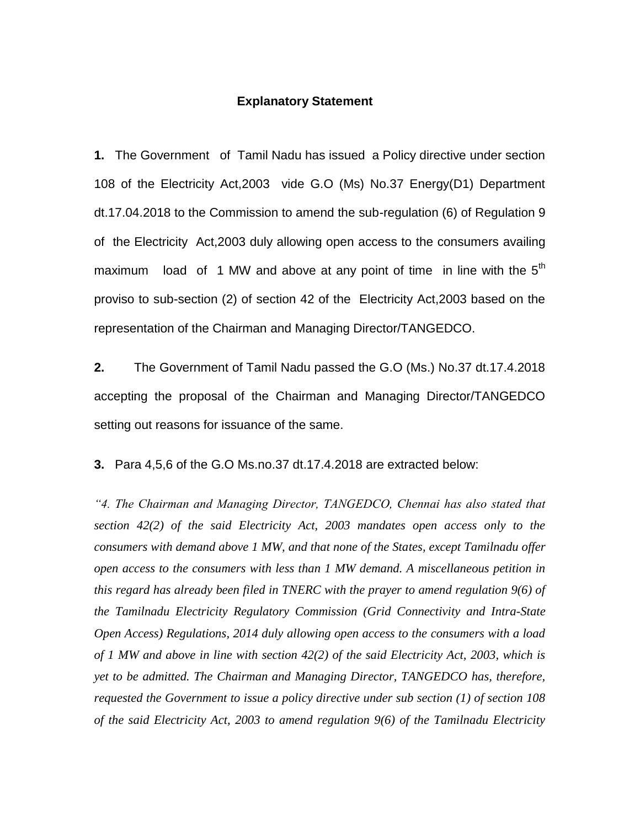#### **Explanatory Statement**

**1.** The Government of Tamil Nadu has issued a Policy directive under section 108 of the Electricity Act,2003 vide G.O (Ms) No.37 Energy(D1) Department dt.17.04.2018 to the Commission to amend the sub-regulation (6) of Regulation 9 of the Electricity Act,2003 duly allowing open access to the consumers availing maximum load of 1 MW and above at any point of time in line with the  $5<sup>th</sup>$ proviso to sub-section (2) of section 42 of the Electricity Act,2003 based on the representation of the Chairman and Managing Director/TANGEDCO.

**2.** The Government of Tamil Nadu passed the G.O (Ms.) No.37 dt.17.4.2018 accepting the proposal of the Chairman and Managing Director/TANGEDCO setting out reasons for issuance of the same.

**3.** Para 4,5,6 of the G.O Ms.no.37 dt.17.4.2018 are extracted below:

*"4. The Chairman and Managing Director, TANGEDCO, Chennai has also stated that section 42(2) of the said Electricity Act, 2003 mandates open access only to the consumers with demand above 1 MW, and that none of the States, except Tamilnadu offer open access to the consumers with less than 1 MW demand. A miscellaneous petition in this regard has already been filed in TNERC with the prayer to amend regulation 9(6) of the Tamilnadu Electricity Regulatory Commission (Grid Connectivity and Intra-State Open Access) Regulations, 2014 duly allowing open access to the consumers with a load of 1 MW and above in line with section 42(2) of the said Electricity Act, 2003, which is yet to be admitted. The Chairman and Managing Director, TANGEDCO has, therefore, requested the Government to issue a policy directive under sub section (1) of section 108 of the said Electricity Act, 2003 to amend regulation 9(6) of the Tamilnadu Electricity*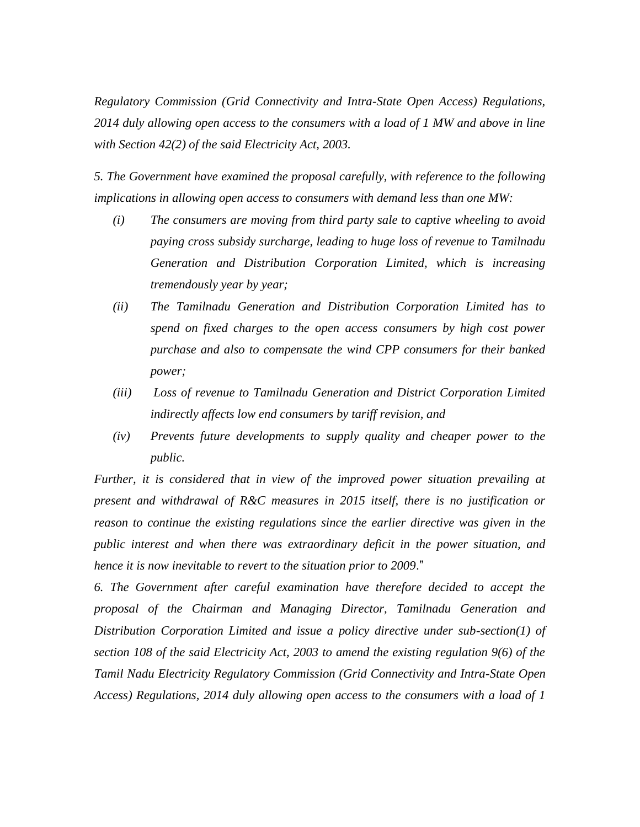*Regulatory Commission (Grid Connectivity and Intra-State Open Access) Regulations, 2014 duly allowing open access to the consumers with a load of 1 MW and above in line with Section 42(2) of the said Electricity Act, 2003.*

*5. The Government have examined the proposal carefully, with reference to the following implications in allowing open access to consumers with demand less than one MW:* 

- *(i) The consumers are moving from third party sale to captive wheeling to avoid paying cross subsidy surcharge, leading to huge loss of revenue to Tamilnadu Generation and Distribution Corporation Limited, which is increasing tremendously year by year;*
- *(ii) The Tamilnadu Generation and Distribution Corporation Limited has to spend on fixed charges to the open access consumers by high cost power purchase and also to compensate the wind CPP consumers for their banked power;*
- *(iii) Loss of revenue to Tamilnadu Generation and District Corporation Limited indirectly affects low end consumers by tariff revision, and*
- *(iv) Prevents future developments to supply quality and cheaper power to the public.*

*Further, it is considered that in view of the improved power situation prevailing at present and withdrawal of R&C measures in 2015 itself, there is no justification or reason to continue the existing regulations since the earlier directive was given in the public interest and when there was extraordinary deficit in the power situation, and hence it is now inevitable to revert to the situation prior to 2009*."

*6. The Government after careful examination have therefore decided to accept the proposal of the Chairman and Managing Director, Tamilnadu Generation and Distribution Corporation Limited and issue a policy directive under sub-section(1) of section 108 of the said Electricity Act, 2003 to amend the existing regulation 9(6) of the Tamil Nadu Electricity Regulatory Commission (Grid Connectivity and Intra-State Open Access) Regulations, 2014 duly allowing open access to the consumers with a load of 1*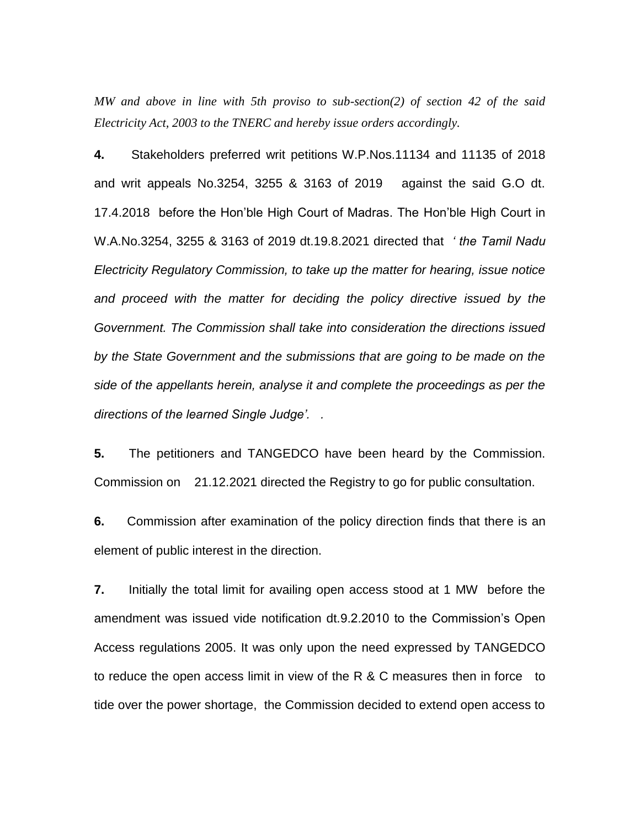*MW and above in line with 5th proviso to sub-section(2) of section 42 of the said Electricity Act, 2003 to the TNERC and hereby issue orders accordingly.*

**4.** Stakeholders preferred writ petitions W.P.Nos.11134 and 11135 of 2018 and writ appeals No.3254, 3255 & 3163 of 2019 against the said G.O dt. 17.4.2018 before the Hon'ble High Court of Madras. The Hon'ble High Court in W.A.No.3254, 3255 & 3163 of 2019 dt.19.8.2021 directed that *' the Tamil Nadu Electricity Regulatory Commission, to take up the matter for hearing, issue notice and proceed with the matter for deciding the policy directive issued by the Government. The Commission shall take into consideration the directions issued by the State Government and the submissions that are going to be made on the side of the appellants herein, analyse it and complete the proceedings as per the directions of the learned Single Judge'. .*

**5.** The petitioners and TANGEDCO have been heard by the Commission. Commission on 21.12.2021 directed the Registry to go for public consultation.

**6.** Commission after examination of the policy direction finds that there is an element of public interest in the direction.

**7.** Initially the total limit for availing open access stood at 1 MW before the amendment was issued vide notification dt.9.2.2010 to the Commission's Open Access regulations 2005. It was only upon the need expressed by TANGEDCO to reduce the open access limit in view of the R & C measures then in force to tide over the power shortage, the Commission decided to extend open access to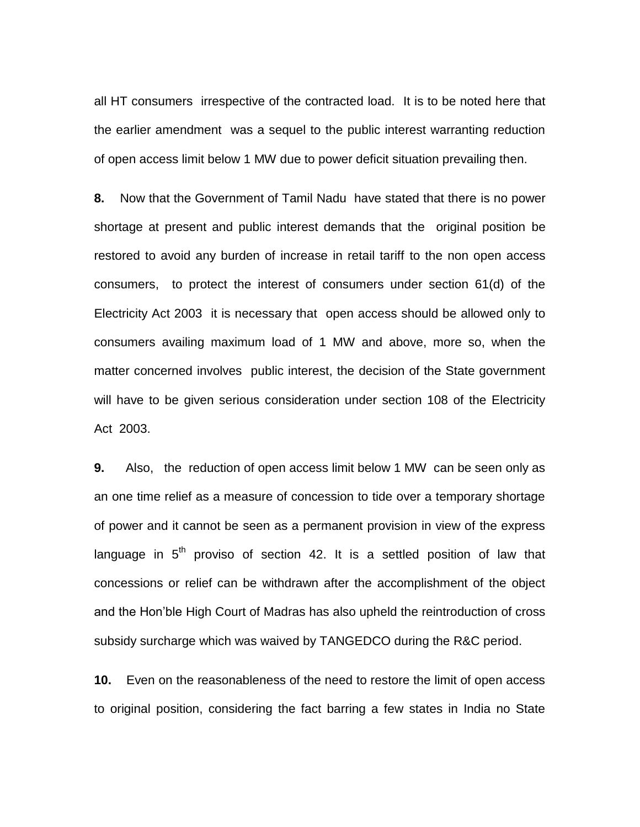all HT consumers irrespective of the contracted load. It is to be noted here that the earlier amendment was a sequel to the public interest warranting reduction of open access limit below 1 MW due to power deficit situation prevailing then.

**8.** Now that the Government of Tamil Nadu have stated that there is no power shortage at present and public interest demands that the original position be restored to avoid any burden of increase in retail tariff to the non open access consumers, to protect the interest of consumers under section 61(d) of the Electricity Act 2003 it is necessary that open access should be allowed only to consumers availing maximum load of 1 MW and above, more so, when the matter concerned involves public interest, the decision of the State government will have to be given serious consideration under section 108 of the Electricity Act 2003.

**9.** Also, the reduction of open access limit below 1 MW can be seen only as an one time relief as a measure of concession to tide over a temporary shortage of power and it cannot be seen as a permanent provision in view of the express language in  $5<sup>th</sup>$  proviso of section 42. It is a settled position of law that concessions or relief can be withdrawn after the accomplishment of the object and the Hon'ble High Court of Madras has also upheld the reintroduction of cross subsidy surcharge which was waived by TANGEDCO during the R&C period.

**10.** Even on the reasonableness of the need to restore the limit of open access to original position, considering the fact barring a few states in India no State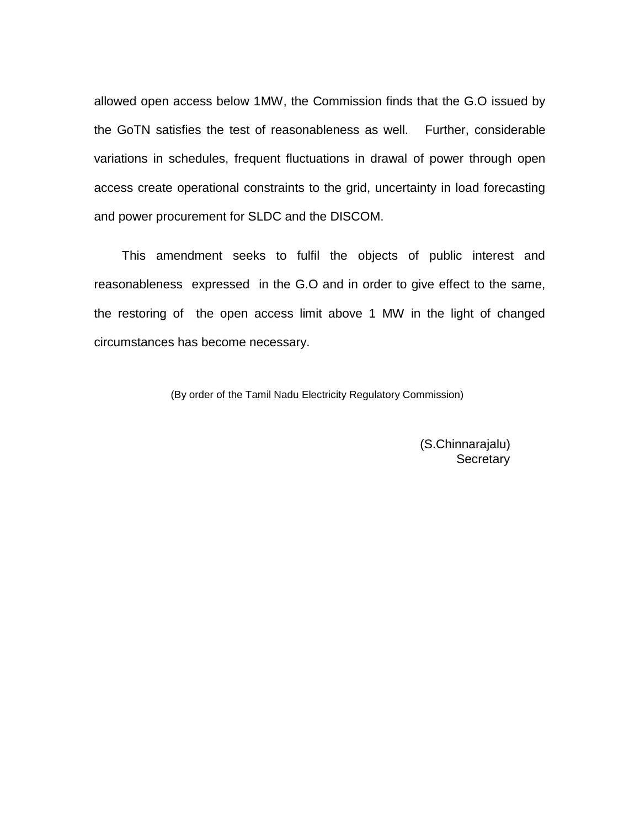allowed open access below 1MW, the Commission finds that the G.O issued by the GoTN satisfies the test of reasonableness as well. Further, considerable variations in schedules, frequent fluctuations in drawal of power through open access create operational constraints to the grid, uncertainty in load forecasting and power procurement for SLDC and the DISCOM.

 This amendment seeks to fulfil the objects of public interest and reasonableness expressed in the G.O and in order to give effect to the same, the restoring of the open access limit above 1 MW in the light of changed circumstances has become necessary.

(By order of the Tamil Nadu Electricity Regulatory Commission)

 (S.Chinnarajalu) **Secretary**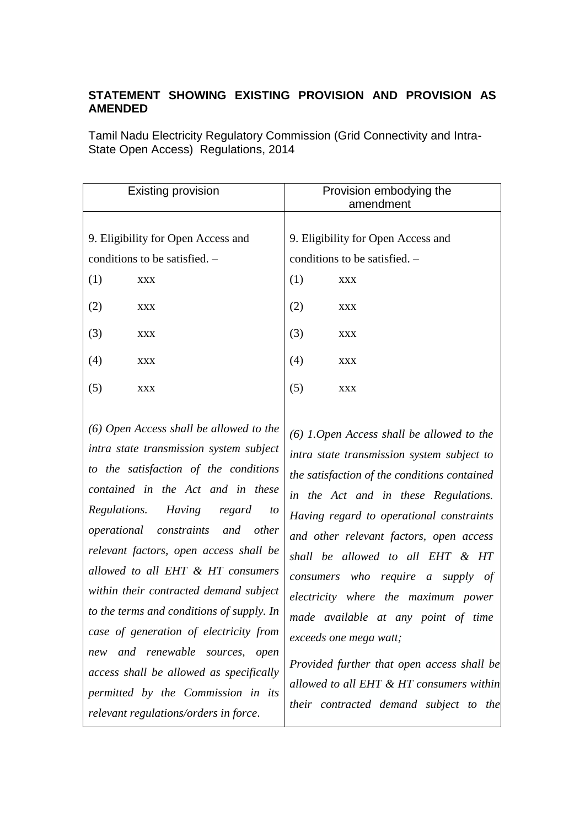# **STATEMENT SHOWING EXISTING PROVISION AND PROVISION AS AMENDED**

Tamil Nadu Electricity Regulatory Commission (Grid Connectivity and Intra-State Open Access) Regulations, 2014

| <b>Existing provision</b>          |            | Provision embodying the<br>amendment |            |
|------------------------------------|------------|--------------------------------------|------------|
|                                    |            |                                      |            |
| 9. Eligibility for Open Access and |            | 9. Eligibility for Open Access and   |            |
| conditions to be satisfied. $-$    |            | conditions to be satisfied. $-$      |            |
| (1)                                | <b>XXX</b> | (1)                                  | <b>XXX</b> |
| (2)                                | <b>XXX</b> | (2)                                  | <b>XXX</b> |
| (3)                                | <b>XXX</b> | (3)                                  | <b>XXX</b> |
| (4)                                | <b>XXX</b> | (4)                                  | <b>XXX</b> |
| (5)                                | <b>XXX</b> | (5)                                  | <b>XXX</b> |
|                                    |            |                                      |            |

*(6) Open Access shall be allowed to the intra state transmission system subject to the satisfaction of the conditions contained in the Act and in these Regulations. Having regard to operational constraints and other relevant factors, open access shall be allowed to all EHT & HT consumers within their contracted demand subject to the terms and conditions of supply. In case of generation of electricity from new and renewable sources, open access shall be allowed as specifically permitted by the Commission in its relevant regulations/orders in force*.

*(6) 1.Open Access shall be allowed to the intra state transmission system subject to the satisfaction of the conditions contained in the Act and in these Regulations. Having regard to operational constraints and other relevant factors, open access shall be allowed to all EHT & HT consumers who require a supply of electricity where the maximum power made available at any point of time exceeds one mega watt;*

*Provided further that open access shall be allowed to all EHT & HT consumers within their contracted demand subject to the*